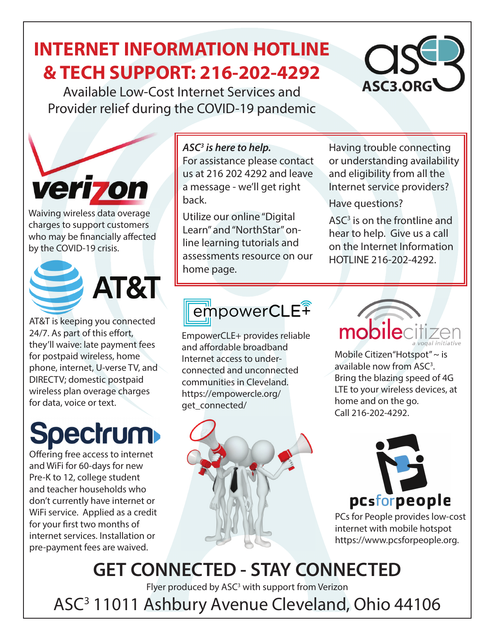## **INTERNET INFORMATION HOTLINE & TECH SUPPORT: 216-202-4292**

Available Low-Cost Internet Services and Provider relief during the COVID-19 pandemic



Waiving wireless data overage charges to support customers who may be financially affected by the COVID-19 crisis.





AT&T is keeping you connected 24/7. As part of this effort, they'll waive: late payment fees for postpaid wireless, home phone, internet, U-verse TV, and DIRECTV; domestic postpaid wireless plan overage charges for data, voice or text.

# **Spectrum**

Offering free access to internet and WiFi for 60-days for new Pre-K to 12, college student and teacher households who don't currently have internet or WiFi service. Applied as a credit for your first two months of internet services. Installation or pre-payment fees are waived.

*ASC3 is here to help.* 

For assistance please contact us at 216 202 4292 and leave a message - we'll get right back.

Utilize our online "Digital Learn" and "NorthStar" online learning tutorials and assessments resource on our home page.

Having trouble connecting or understanding availability and eligibility from all the Internet service providers?

**ASC3.ORG**

#### Have questions?

ASC<sup>3</sup> is on the frontline and hear to help. Give us a call on the Internet Information HOTLINE 216-202-4292.

# empowerCLE<sup><sup>?</sup></sup>

EmpowerCLE+ provides reliable and affordable broadband Internet access to underconnected and unconnected communities in Cleveland. https://empowercle.org/ get\_connected/





Mobile Citizen"Hotspot" ~ is available now from ASC<sup>3</sup>. Bring the blazing speed of 4G LTE to your wireless devices, at home and on the go. Call 216-202-4292.

# pcsforpeople

PCs for People provides low-cost internet with mobile hotspot https://www.pcsforpeople.org.

## **GET CONNECTED - STAY CONNECTED**

Flyer produced by ASC<sup>3</sup> with support from Verizon

ASC3 11011 Ashbury Avenue Cleveland, Ohio 44106